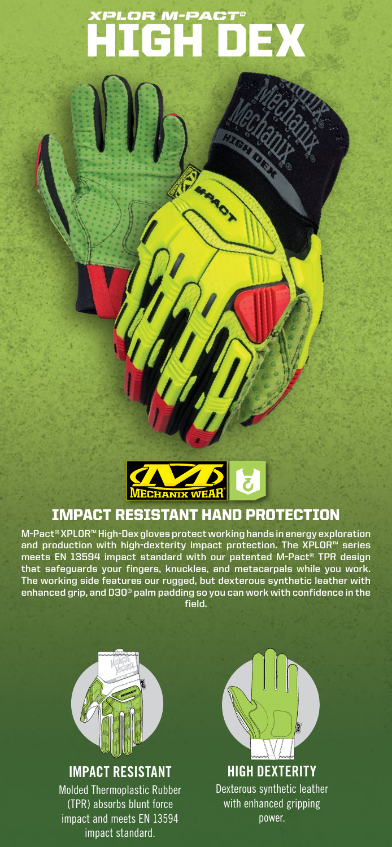# HIGH DEX *XPLOR M-PACT®*

**SARROY** 



# IMPACT RESISTANT HAND PROTECTION

**M-Pact® XPLOR™ High-Dex gloves protect working hands in energy exploration and production with high-dexterity impact protection. The XPLOR™ series meets EN 13594 impact standard with our patented M-Pact® TPR design that safeguards your fingers, knuckles, and metacarpals while you work. The working side features our rugged, but dexterous synthetic leather with enhanced grip, and D3O® palm padding so you can work with confidence in the field.**



# **IMPACT RESISTANT**

Molded Thermoplastic Rubber (TPR) absorbs blunt force impact and meets EN 13594 impact standard.



Dexterous synthetic leather with enhanced gripping power.